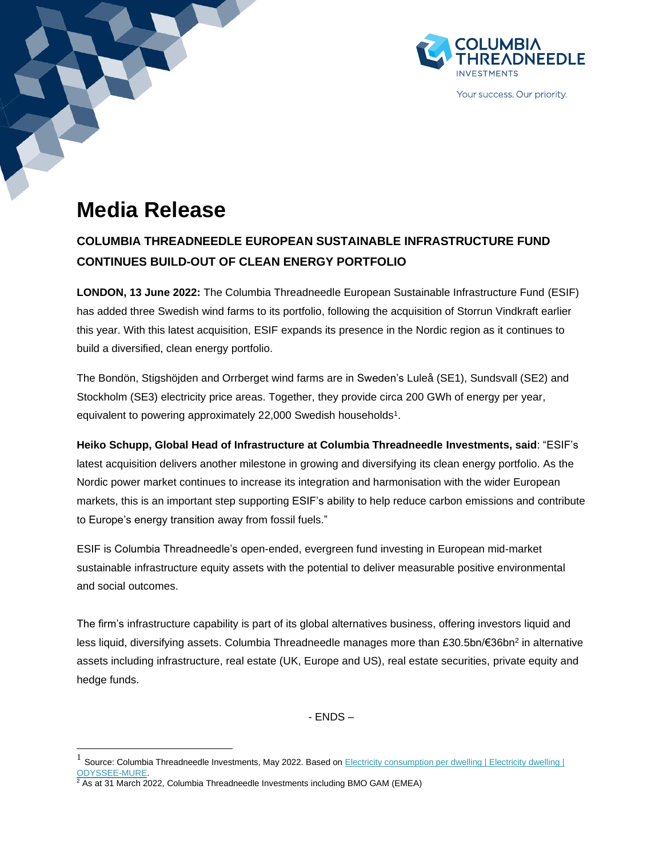

Your success. Our priority.

# **Media Release**

# **COLUMBIA THREADNEEDLE EUROPEAN SUSTAINABLE INFRASTRUCTURE FUND CONTINUES BUILD-OUT OF CLEAN ENERGY PORTFOLIO**

**LONDON, 13 June 2022:** The Columbia Threadneedle European Sustainable Infrastructure Fund (ESIF) has added three Swedish wind farms to its portfolio, following the acquisition of Storrun Vindkraft earlier this year. With this latest acquisition, ESIF expands its presence in the Nordic region as it continues to build a diversified, clean energy portfolio.

The Bondön, Stigshöjden and Orrberget wind farms are in Sweden's Luleå (SE1), Sundsvall (SE2) and Stockholm (SE3) electricity price areas. Together, they provide circa 200 GWh of energy per year, equivalent to powering approximately 22,000 Swedish households<sup>1</sup>.

**Heiko Schupp, Global Head of Infrastructure at Columbia Threadneedle Investments, said**: "ESIF's latest acquisition delivers another milestone in growing and diversifying its clean energy portfolio. As the Nordic power market continues to increase its integration and harmonisation with the wider European markets, this is an important step supporting ESIF's ability to help reduce carbon emissions and contribute to Europe's energy transition away from fossil fuels."

ESIF is Columbia Threadneedle's open-ended, evergreen fund investing in European mid-market sustainable infrastructure equity assets with the potential to deliver measurable positive environmental and social outcomes.

The firm's infrastructure capability is part of its global alternatives business, offering investors liquid and less liquid, diversifying assets. Columbia Threadneedle manages more than £30.5bn/€36bn<sup>2</sup> in alternative assets including infrastructure, real estate (UK, Europe and US), real estate securities, private equity and hedge funds.

 $-$  FNDS  $-$ 

<sup>1</sup> Source: Columbia Threadneedle Investments, May 2022. Based on Electricity consumption per dwelling | Electricity dwelling | [ODYSSEE-MURE.](https://www.odyssee-mure.eu/publications/efficiency-by-sector/households/electricity-consumption-dwelling.html#:~:text=Very%20unequal%20level%20of%20electricity%20consumption%20per%20household%3A,and%20Sweden%2C%20and%20even%2017%2C000%20kWh%20in%20Norway.)

<sup>2</sup> As at 31 March 2022, Columbia Threadneedle Investments including BMO GAM (EMEA)